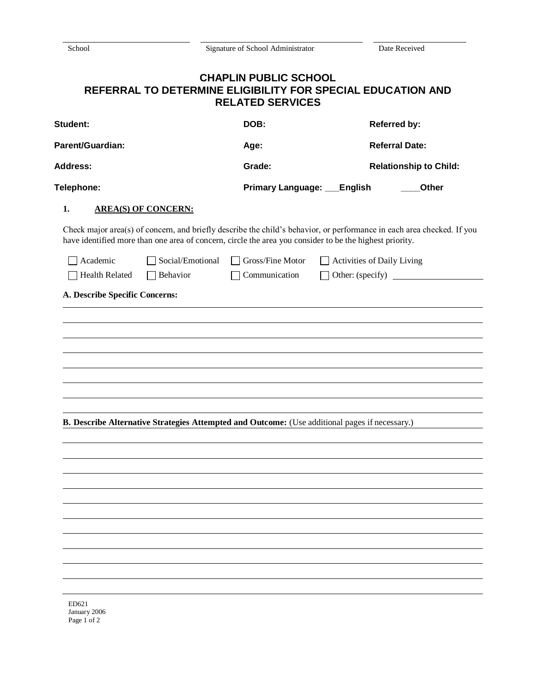Signature of School Administrator Date Received

## **CHAPLIN PUBLIC SCHOOL REFERRAL TO DETERMINE ELIGIBILITY FOR SPECIAL EDUCATION AND RELATED SERVICES**

| Student:<br>Parent/Guardian:<br><b>Address:</b><br>Telephone: |                            | DOB:                                                                                                                                                                                                                              |                                   | <b>Referred by:</b><br><b>Referral Date:</b><br><b>Relationship to Child:</b><br>Other |  |
|---------------------------------------------------------------|----------------------------|-----------------------------------------------------------------------------------------------------------------------------------------------------------------------------------------------------------------------------------|-----------------------------------|----------------------------------------------------------------------------------------|--|
|                                                               |                            | Age:                                                                                                                                                                                                                              |                                   |                                                                                        |  |
|                                                               |                            | Grade:                                                                                                                                                                                                                            |                                   |                                                                                        |  |
|                                                               |                            | Primary Language: __                                                                                                                                                                                                              | <b>English</b>                    |                                                                                        |  |
| 1.                                                            | <b>AREA(S) OF CONCERN:</b> |                                                                                                                                                                                                                                   |                                   |                                                                                        |  |
|                                                               |                            | Check major area(s) of concern, and briefly describe the child's behavior, or performance in each area checked. If you<br>have identified more than one area of concern, circle the area you consider to be the highest priority. |                                   |                                                                                        |  |
| Academic                                                      | Social/Emotional           | Gross/Fine Motor<br>$\mathbf{1}$                                                                                                                                                                                                  | $\Box$ Activities of Daily Living |                                                                                        |  |
| <b>Health Related</b>                                         | Behavior                   | Communication                                                                                                                                                                                                                     |                                   | Other: (specify)                                                                       |  |
| A. Describe Specific Concerns:                                |                            |                                                                                                                                                                                                                                   |                                   |                                                                                        |  |
|                                                               |                            |                                                                                                                                                                                                                                   |                                   |                                                                                        |  |
|                                                               |                            |                                                                                                                                                                                                                                   |                                   |                                                                                        |  |
|                                                               |                            |                                                                                                                                                                                                                                   |                                   |                                                                                        |  |
|                                                               |                            |                                                                                                                                                                                                                                   |                                   |                                                                                        |  |
|                                                               |                            |                                                                                                                                                                                                                                   |                                   |                                                                                        |  |
|                                                               |                            |                                                                                                                                                                                                                                   |                                   |                                                                                        |  |
|                                                               |                            | B. Describe Alternative Strategies Attempted and Outcome: (Use additional pages if necessary.)                                                                                                                                    |                                   |                                                                                        |  |
|                                                               |                            |                                                                                                                                                                                                                                   |                                   |                                                                                        |  |
|                                                               |                            |                                                                                                                                                                                                                                   |                                   |                                                                                        |  |
|                                                               |                            |                                                                                                                                                                                                                                   |                                   |                                                                                        |  |
|                                                               |                            |                                                                                                                                                                                                                                   |                                   |                                                                                        |  |
|                                                               |                            |                                                                                                                                                                                                                                   |                                   |                                                                                        |  |
|                                                               |                            |                                                                                                                                                                                                                                   |                                   |                                                                                        |  |
|                                                               |                            |                                                                                                                                                                                                                                   |                                   |                                                                                        |  |
|                                                               |                            |                                                                                                                                                                                                                                   |                                   |                                                                                        |  |
|                                                               |                            |                                                                                                                                                                                                                                   |                                   |                                                                                        |  |
|                                                               |                            |                                                                                                                                                                                                                                   |                                   |                                                                                        |  |
| ED621<br>January 2006                                         |                            |                                                                                                                                                                                                                                   |                                   |                                                                                        |  |